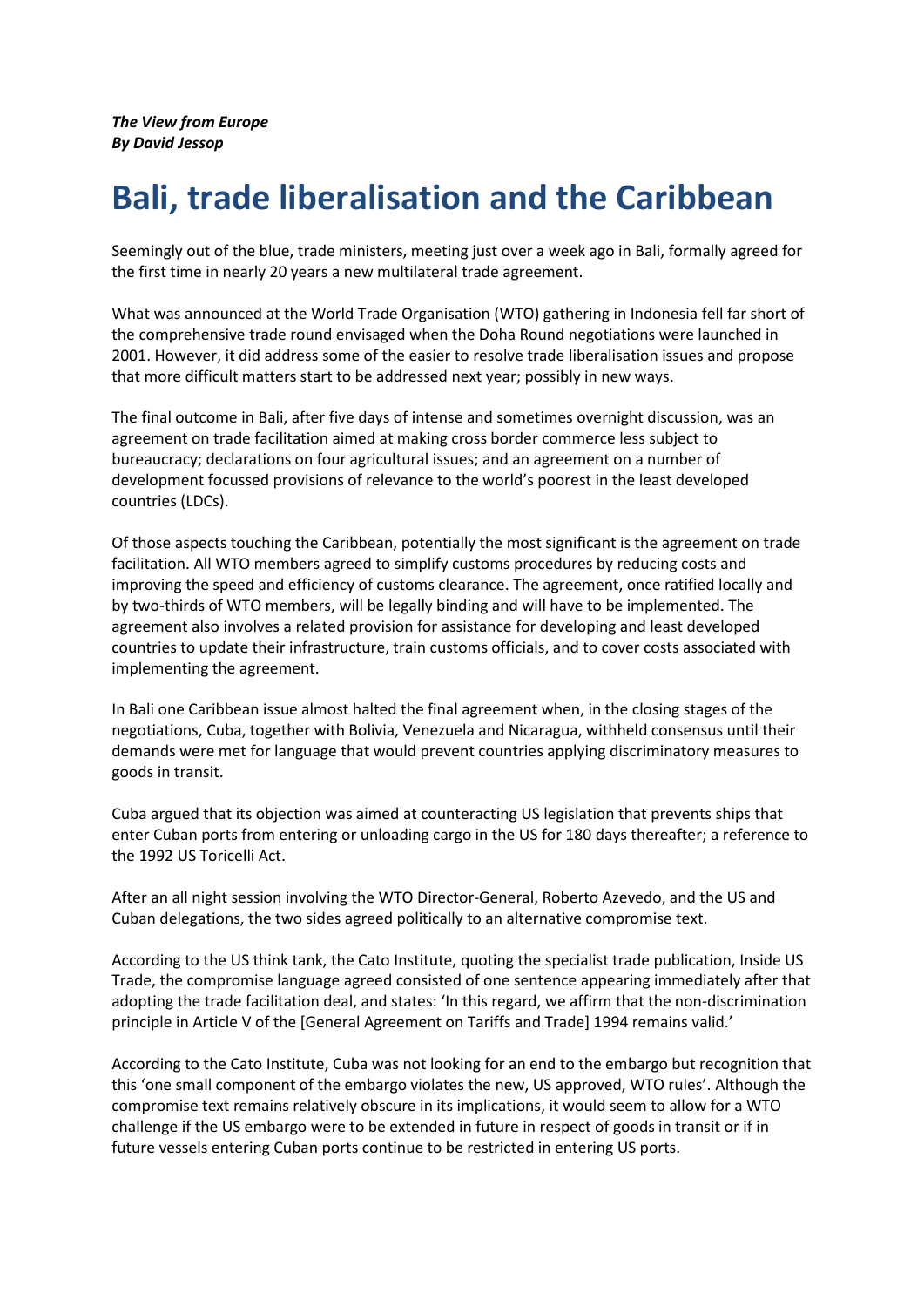*The View from Europe By David Jessop*

## **Bali, trade liberalisation and the Caribbean**

Seemingly out of the blue, trade ministers, meeting just over a week ago in Bali, formally agreed for the first time in nearly 20 years a new multilateral trade agreement.

What was announced at the World Trade Organisation (WTO) gathering in Indonesia fell far short of the comprehensive trade round envisaged when the Doha Round negotiations were launched in 2001. However, it did address some of the easier to resolve trade liberalisation issues and propose that more difficult matters start to be addressed next year; possibly in new ways.

The final outcome in Bali, after five days of intense and sometimes overnight discussion, was an agreement on trade facilitation aimed at making cross border commerce less subject to bureaucracy; declarations on four agricultural issues; and an agreement on a number of development focussed provisions of relevance to the world's poorest in the least developed countries (LDCs).

Of those aspects touching the Caribbean, potentially the most significant is the agreement on trade facilitation. All WTO members agreed to simplify customs procedures by reducing costs and improving the speed and efficiency of customs clearance. The agreement, once ratified locally and by two-thirds of WTO members, will be legally binding and will have to be implemented. The agreement also involves a related provision for assistance for developing and least developed countries to update their infrastructure, train customs officials, and to cover costs associated with implementing the agreement.

In Bali one Caribbean issue almost halted the final agreement when, in the closing stages of the negotiations, Cuba, together with Bolivia, Venezuela and Nicaragua, withheld consensus until their demands were met for language that would prevent countries applying discriminatory measures to goods in transit.

Cuba argued that its objection was aimed at counteracting US legislation that prevents ships that enter Cuban ports from entering or unloading cargo in the US for 180 days thereafter; a reference to the 1992 US Toricelli Act.

After an all night session involving the WTO Director-General, Roberto Azevedo, and the US and Cuban delegations, the two sides agreed politically to an alternative compromise text.

According to the US think tank, the Cato Institute, quoting the specialist trade publication, Inside US Trade, the compromise language agreed consisted of one sentence appearing immediately after that adopting the trade facilitation deal, and states: 'In this regard, we affirm that the non-discrimination principle in Article V of the [General Agreement on Tariffs and Trade] 1994 remains valid.'

According to the Cato Institute, Cuba was not looking for an end to the embargo but recognition that this 'one small component of the embargo violates the new, US approved, WTO rules'. Although the compromise text remains relatively obscure in its implications, it would seem to allow for a WTO challenge if the US embargo were to be extended in future in respect of goods in transit or if in future vessels entering Cuban ports continue to be restricted in entering US ports.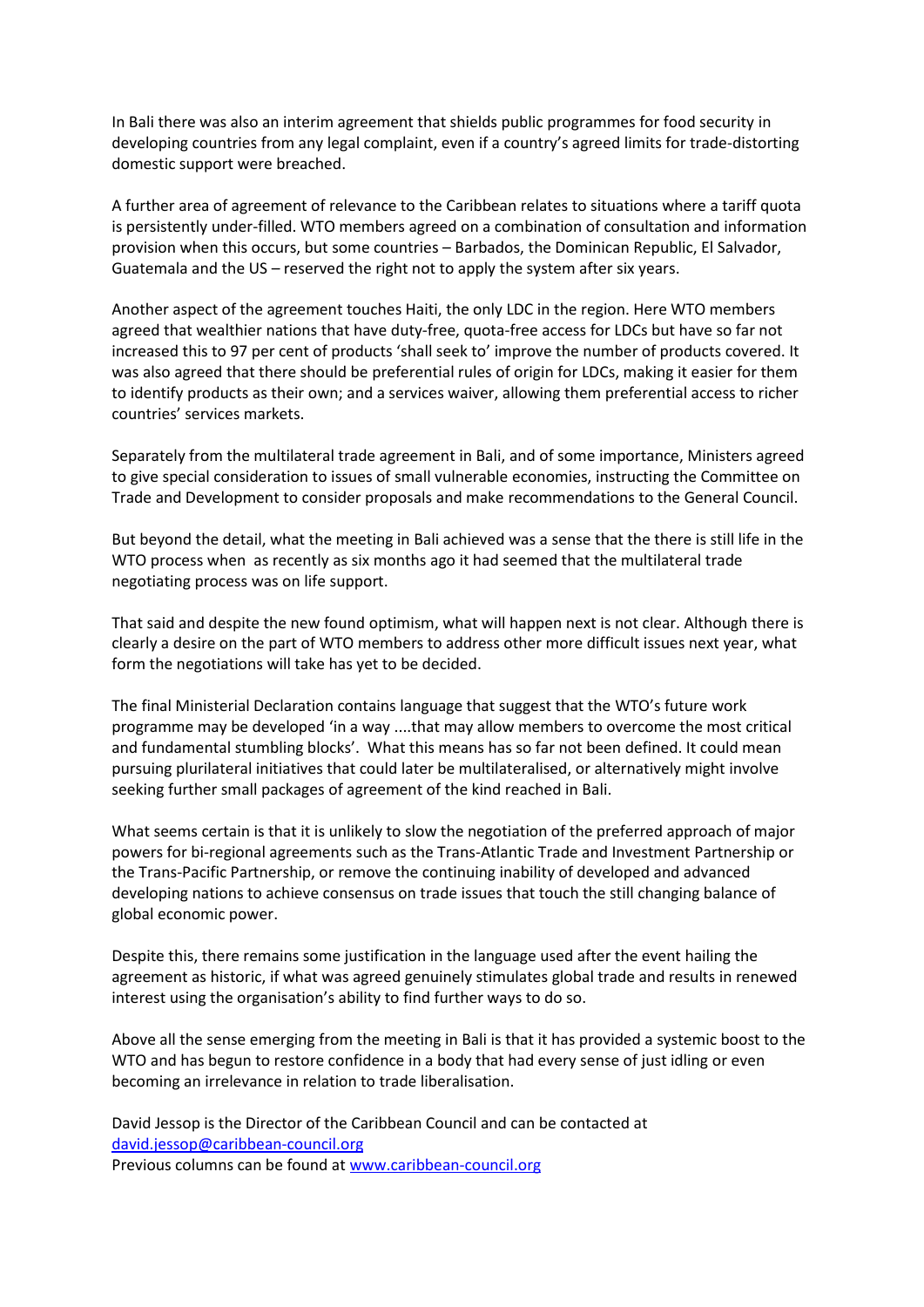In Bali there was also an interim agreement that shields public programmes for food security in developing countries from any legal complaint, even if a country's agreed limits for trade-distorting domestic support were breached.

A further area of agreement of relevance to the Caribbean relates to situations where a tariff quota is persistently under-filled. WTO members agreed on a combination of consultation and information provision when this occurs, but some countries – Barbados, the Dominican Republic, El Salvador, Guatemala and the US – reserved the right not to apply the system after six years.

Another aspect of the agreement touches Haiti, the only LDC in the region. Here WTO members agreed that wealthier nations that have duty-free, quota-free access for LDCs but have so far not increased this to 97 per cent of products 'shall seek to' improve the number of products covered. It was also agreed that there should be preferential rules of origin for LDCs, making it easier for them to identify products as their own; and a services waiver, allowing them preferential access to richer countries' services markets.

Separately from the multilateral trade agreement in Bali, and of some importance, Ministers agreed to give special consideration to issues of small vulnerable economies, instructing the Committee on Trade and Development to consider proposals and make recommendations to the General Council.

But beyond the detail, what the meeting in Bali achieved was a sense that the there is still life in the WTO process when as recently as six months ago it had seemed that the multilateral trade negotiating process was on life support.

That said and despite the new found optimism, what will happen next is not clear. Although there is clearly a desire on the part of WTO members to address other more difficult issues next year, what form the negotiations will take has yet to be decided.

The final Ministerial Declaration contains language that suggest that the WTO's future work programme may be developed 'in a way ....that may allow members to overcome the most critical and fundamental stumbling blocks'. What this means has so far not been defined. It could mean pursuing plurilateral initiatives that could later be multilateralised, or alternatively might involve seeking further small packages of agreement of the kind reached in Bali.

What seems certain is that it is unlikely to slow the negotiation of the preferred approach of major powers for bi-regional agreements such as the Trans-Atlantic Trade and Investment Partnership or the Trans-Pacific Partnership, or remove the continuing inability of developed and advanced developing nations to achieve consensus on trade issues that touch the still changing balance of global economic power.

Despite this, there remains some justification in the language used after the event hailing the agreement as historic, if what was agreed genuinely stimulates global trade and results in renewed interest using the organisation's ability to find further ways to do so.

Above all the sense emerging from the meeting in Bali is that it has provided a systemic boost to the WTO and has begun to restore confidence in a body that had every sense of just idling or even becoming an irrelevance in relation to trade liberalisation.

David Jessop is the Director of the Caribbean Council and can be contacted at [david.jessop@caribbean-council.org](mailto:david.jessop@caribbean-council.org) Previous columns can be found at [www.caribbean-council.org](http://www.caribbean-council.org/)